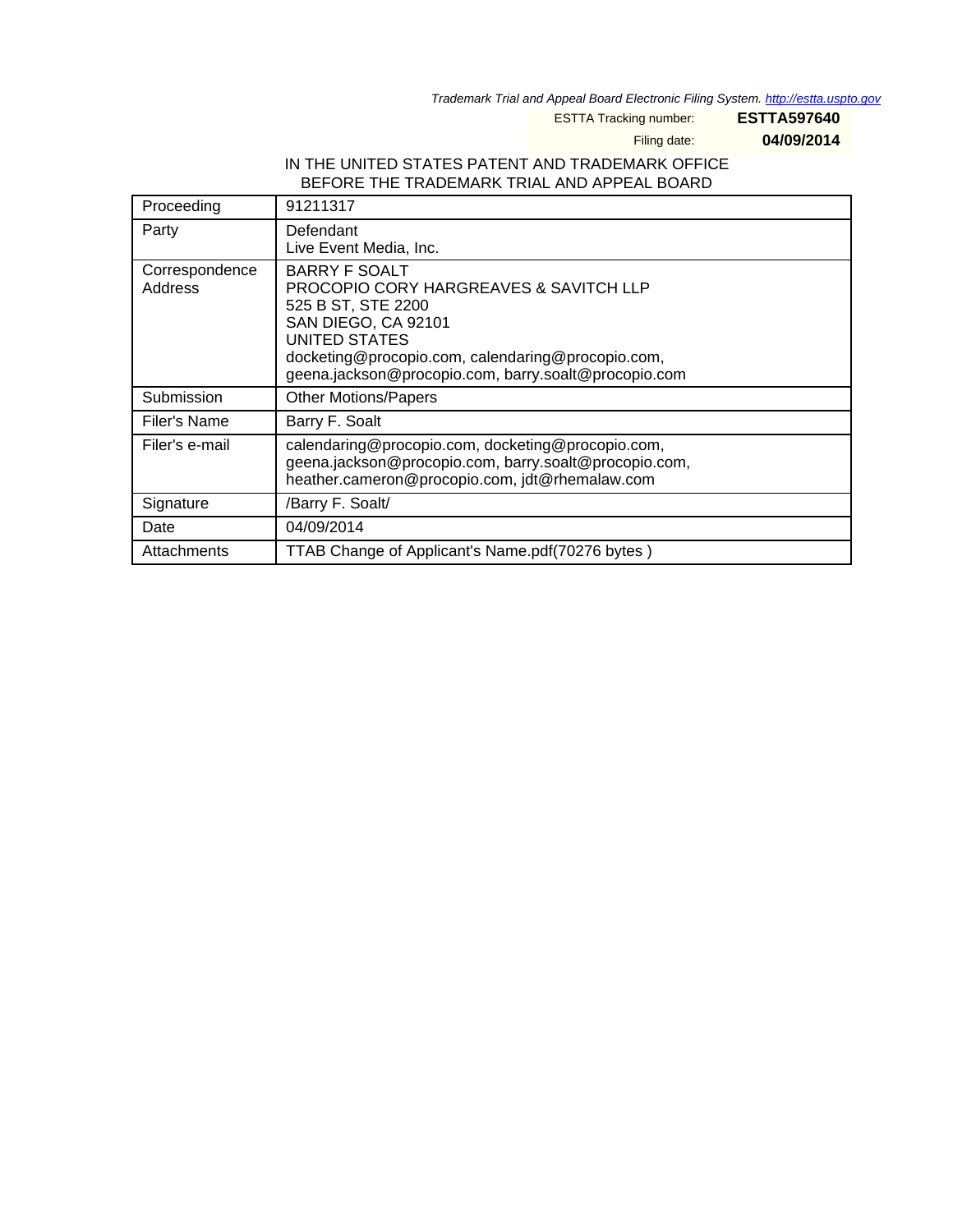Trademark Trial and Appeal Board Electronic Filing System. <http://estta.uspto.gov>

ESTTA Tracking number: **ESTTA597640**

Filing date: **04/09/2014**

### IN THE UNITED STATES PATENT AND TRADEMARK OFFICE BEFORE THE TRADEMARK TRIAL AND APPEAL BOARD

| Proceeding                | 91211317                                                                                                                                                                                                                                      |  |  |
|---------------------------|-----------------------------------------------------------------------------------------------------------------------------------------------------------------------------------------------------------------------------------------------|--|--|
| Party                     | Defendant<br>Live Event Media, Inc.                                                                                                                                                                                                           |  |  |
| Correspondence<br>Address | BARRY F SOALT<br><b>PROCOPIO CORY HARGREAVES &amp; SAVITCH LLP</b><br>525 B ST, STE 2200<br>SAN DIEGO, CA 92101<br>UNITED STATES<br>docketing@procopio.com, calendaring@procopio.com,<br>geena.jackson@procopio.com, barry.soalt@procopio.com |  |  |
| Submission                | <b>Other Motions/Papers</b>                                                                                                                                                                                                                   |  |  |
| Filer's Name              | Barry F. Soalt                                                                                                                                                                                                                                |  |  |
| Filer's e-mail            | calendaring@procopio.com, docketing@procopio.com,<br>geena.jackson@procopio.com, barry.soalt@procopio.com,<br>heather.cameron@procopio.com, jdt@rhemalaw.com                                                                                  |  |  |
| Signature                 | /Barry F. Soalt/                                                                                                                                                                                                                              |  |  |
| Date                      | 04/09/2014                                                                                                                                                                                                                                    |  |  |
| Attachments               | TTAB Change of Applicant's Name.pdf(70276 bytes)                                                                                                                                                                                              |  |  |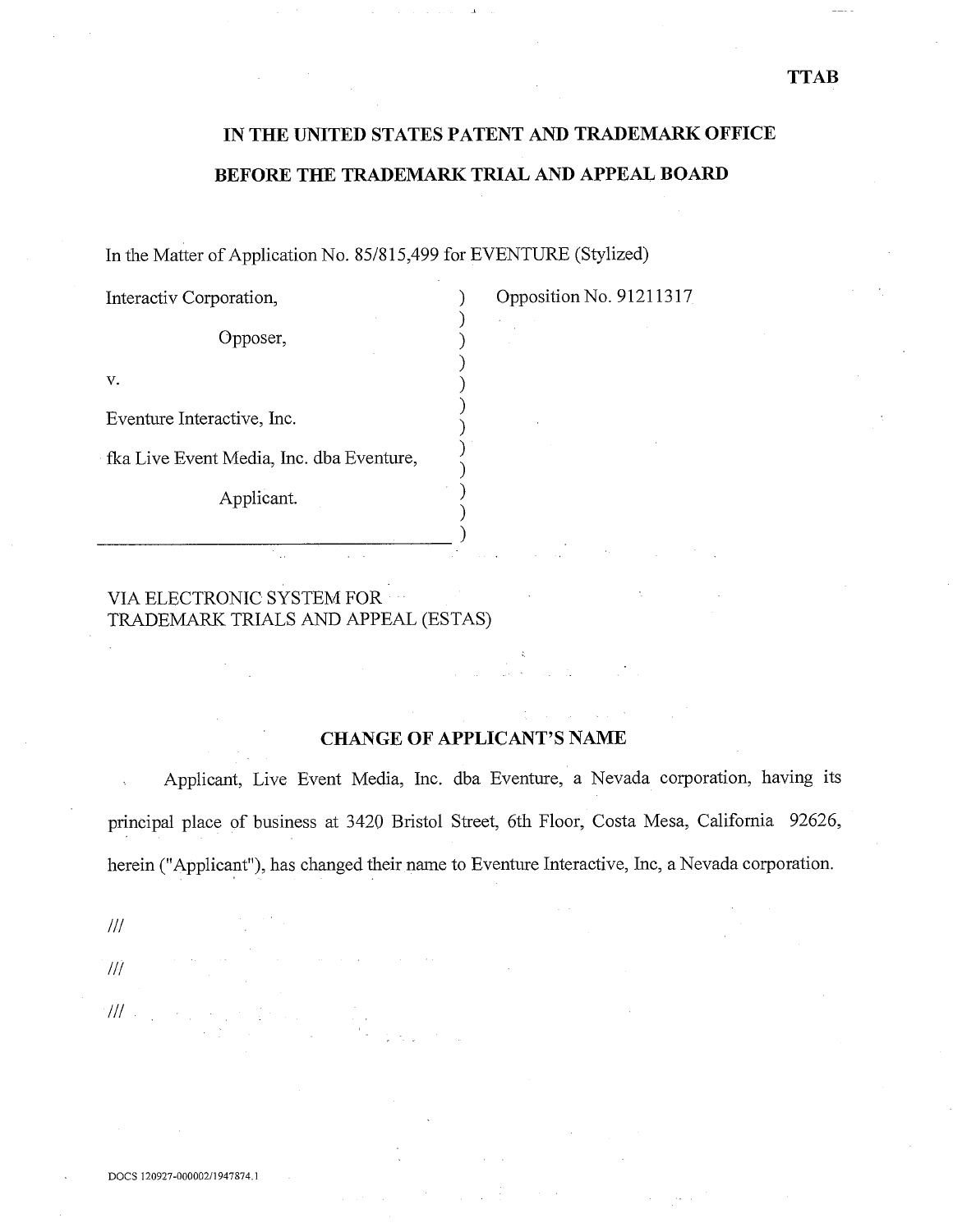### **TTAB**

# **IN THE UNITED STATES PATENT AND TRADEMARK OFFICE BEFORE THE TRADEMARK TRIAL AND APPEAL BOARD**

In the Matter of Application No. 85/815,499 for EVENTURE (Stylized)

| Interactiv Corporation,                  |  |  |  |  |
|------------------------------------------|--|--|--|--|
| Opposer,                                 |  |  |  |  |
| v.                                       |  |  |  |  |
| Eventure Interactive, Inc.               |  |  |  |  |
| fka Live Event Media, Inc. dba Eventure, |  |  |  |  |
| Applicant.                               |  |  |  |  |

Opposition No. 91211317

VIA ELECTRONIC SYSTEM FOR TRADEMARK TRIALS AND APPEAL (ESTAS)

 $\frac{1}{2}$  ,  $\frac{1}{2}$ 

### **CHANGE OF APPLICANT'S NAME**

Applicant, Live Event Media, Inc. dba Eventure, a Nevada corporation, having its principal place of business at 3420 Bristol Street, 6th Floor, Costa Mesa, California *92626,*  herein ("Applicant"), has changed their name to Eventure Interactive, Inc, a Nevada corporation.

 $III$ 

///  $\mathcal{W}$  . The  $\mathcal{U}$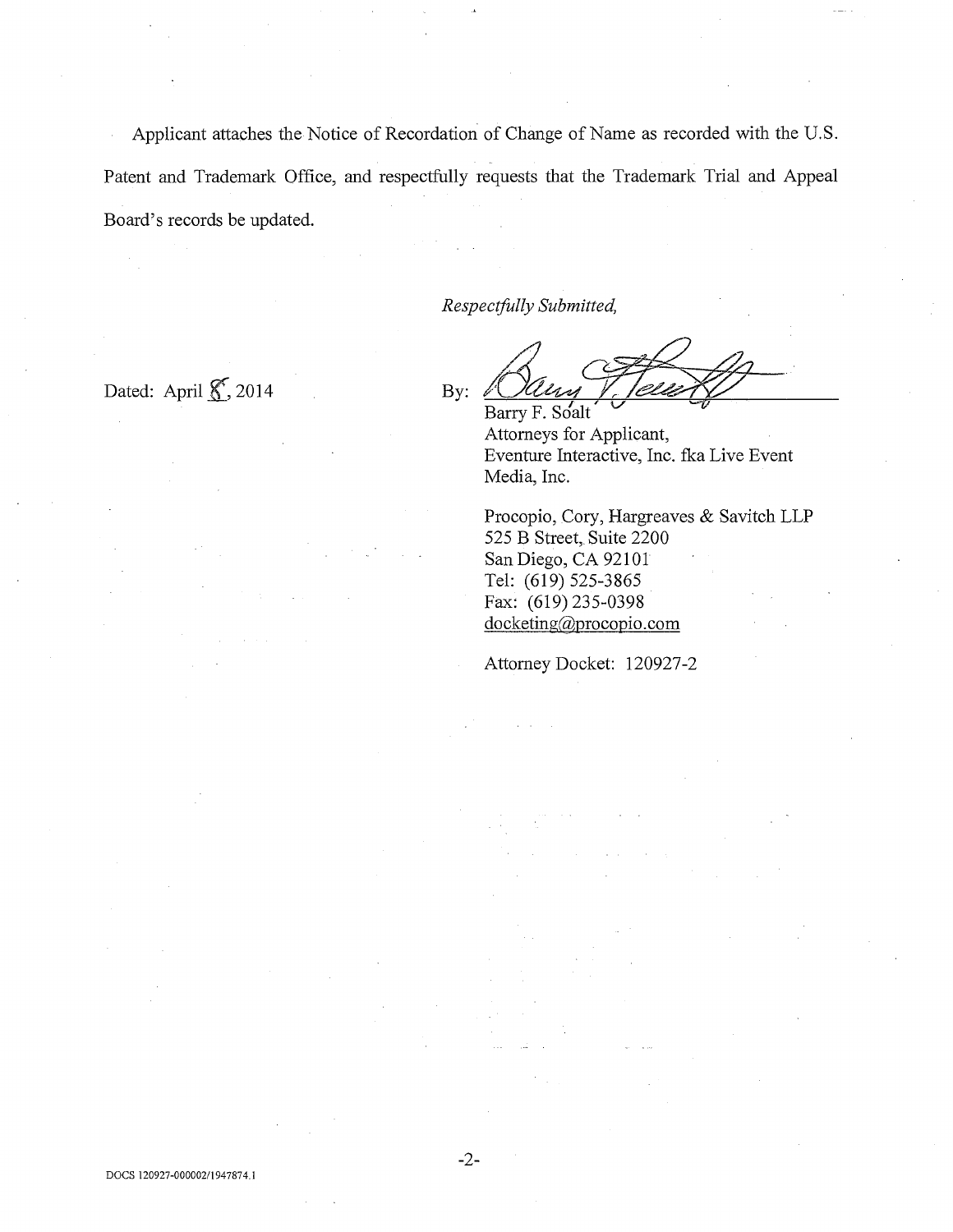Applicant attaches the Notice of Recordation of Change of Name as recorded with the U.S. Patent and Trademark Office, and respectfully requests that the Trademark Trial and Appeal Board's records be updated.

*Respectfully Submitted,* 

Dated: April  $\mathcal{K}$ , 2014 By:

Barry F. Soalt

Attorneys for Applicant, Eventure Interactive, Inc. fka Live Event Media, Inc.

Procopio, Cory, Hargreaves & Savitch LLP 525 B Street, Suite 2200 San Diego, CA 92101 Tel: (619) 525-3865 Fax: (619) 235-0398 docketing@procopio.com

Attorney Docket: 120927-2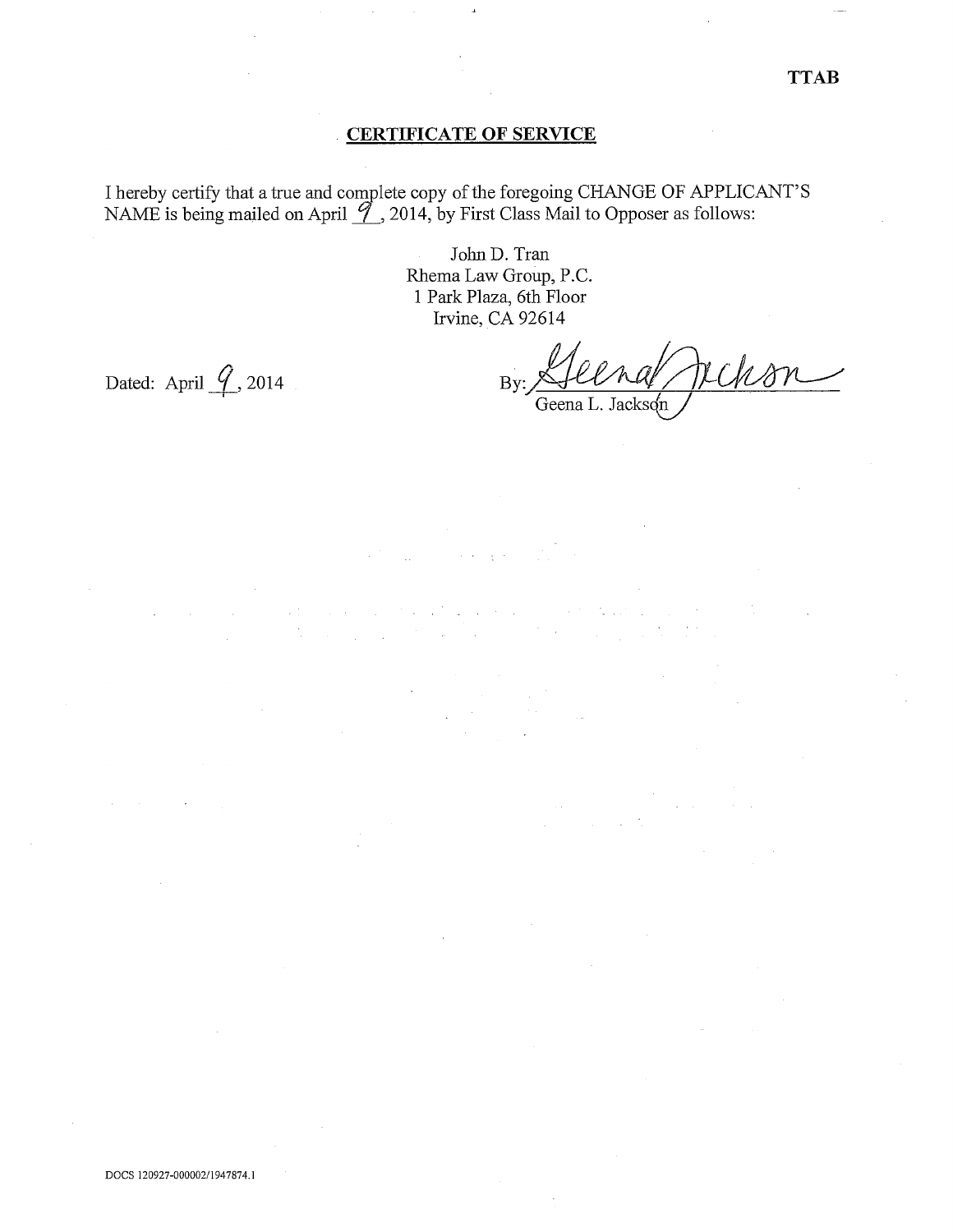### CERTIFICATE OF SERVICE

I hereby certify that a true and complete copy of the foregoing CHANGE OF APPLICANT'S NAME is being mailed on April  $\mathcal{I}$ , 2014, by First Class Mail to Opposer as follows:

> John D. Tran Rhema Law Group, P.C. 1 Park Plaza, 6th Floor Irvine, CA 92614

Dated: April  $\mathcal{G}$ , 2014 By:

DOCS 120927-000002/1947874.1

 $\overline{\text{Uens}}$ Geena L. Jackson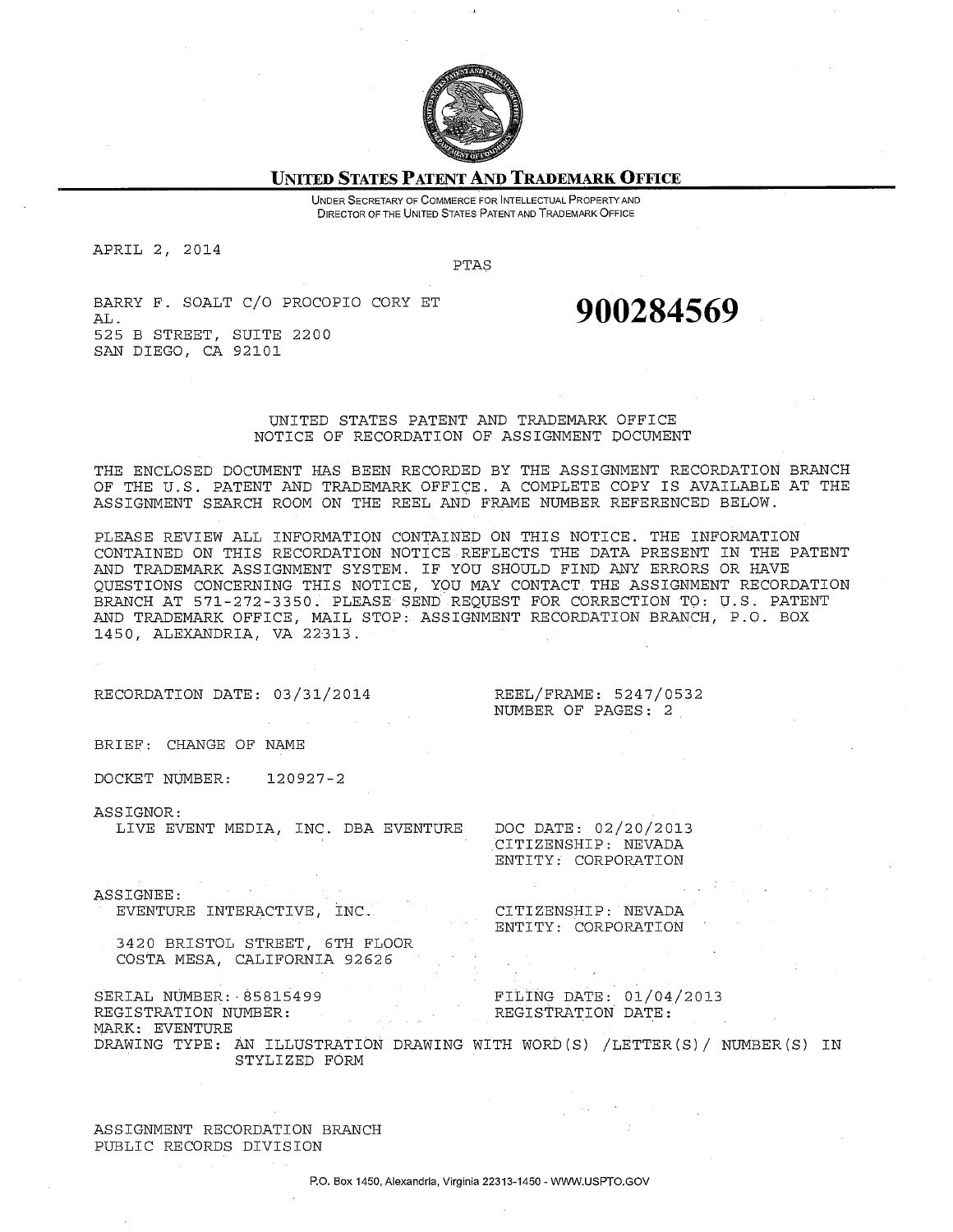

#### **UNITED STATES PATENT AND TRADEMARK OFFICE**

UNDER SECRETARY OF COMMERCE FOR INTELLECTUAL PROPERTYAND DIRECTOR OF THE UNITED STATES PATENT AND TRADEMARK OFFICE

APRIL 2, 2014

PTAS

BARRY F. SOALT C/O PROCOPIO CORY ET AL. **900284569**  525 B STREET, SUITE 2200 SAN DIEGO, CA 92101

#### UNITED STATES PATENT AND TRADEMARK OFFICE NOTICE OF RECORDATION OF ASSIGNMENT DOCUMENT

THE ENCLOSED DOCUMENT HAS BEEN RECORDED BY THE ASSIGNMENT RECORDATION BRANCH OF THE U.S. PATENT AND TRADEMARK OFFICE. A COMPLETE COPY IS AVAILABLE AT THE ASSIGNMENT SEARCH ROOM ON THE REEL AND FRAME NUMBER REFERENCED BELOW.

PLEASE REVIEW ALL INFORMATION CONTAINED ON THIS NOTICE. THE INFORMATION CONTAINED ON THIS RECORDATION NOTICE REFLECTS THE DATA PRESENT IN THE PATENT AND TRADEMARK ASSIGNMENT SYSTEM. IF YOU SHOULD FIND ANY ERRORS OR HAVE QUESTIONS CONCERNING THIS NOTICE, YOU MAY CONTACT. THE ASSIGNMENT RECORDATION BRANCH AT 571-272-3350. PLEASE SEND REQUEST FOR CORRECTION TO: U.S. PATENT AND TRADEMARK OFFICE, MAIL STOP: ASSIGNMENT RECORDATION BRANCH, P.O. BOX 1450, ALEXANDRIA, VA 22313.

RECORDATION DATE: 03/31/2014

REEL/FRAME: 5247/0532 NUMBER OF PAGES: 2

BRIEF: CHANGE OF NAME

DOCKET NUMBER: 120927-2

ASSIGNOR:

LIVE EVENT MEDIA, INC. DBA EVENTURE

CITIZENSHIP: NEVADA ENTITY: CORPORATION

DOC DATE: 02/20/2013

ASSIGNEE: EVENTURE INTERACTIVE, INC.

CITIZENSHIP: NEVADA ENTITY: CORPORATION

3420 BRISTOL STREET, 6TH FLOOR COSTA MESA, CALIFORNIA 92626

SERIAL NUMBER: 85815499 FILING DATE: 01/04/2013<br>REGISTRATION NUMBER: REGISTRATION DATE:

MARK: EVENTURE DRAWING TYPE: AN ILLUSTRATION DRAWING WITH WORD(S) /LETTER(S)/ NUMBER(S) IN STYLIZED FORM

ASSIGNMENT RECORDATION BRANCH PUBLIC RECORDS DIVISION

REGISTRATION NUMBER: